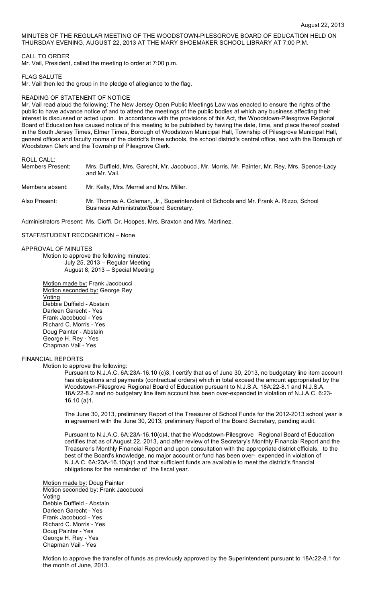### MINUTES OF THE REGULAR MEETING OF THE WOODSTOWN-PILESGROVE BOARD OF EDUCATION HELD ON THURSDAY EVENING, AUGUST 22, 2013 AT THE MARY SHOEMAKER SCHOOL LIBRARY AT 7:00 P.M.

### CALL TO ORDER

Mr. Vail, President, called the meeting to order at 7:00 p.m.

#### FLAG SALUTE

Mr. Vail then led the group in the pledge of allegiance to the flag.

### READING OF STATENENT OF NOTICE

Mr. Vail read aloud the following: The New Jersey Open Public Meetings Law was enacted to ensure the rights of the public to have advance notice of and to attend the meetings of the public bodies at which any business affecting their interest is discussed or acted upon. In accordance with the provisions of this Act, the Woodstown-Pilesgrove Regional Board of Education has caused notice of this meeting to be published by having the date, time, and place thereof posted in the South Jersey Times, Elmer Times, Borough of Woodstown Municipal Hall, Township of Pilesgrove Municipal Hall, general offices and faculty rooms of the district's three schools, the school district's central office, and with the Borough of Woodstown Clerk and the Township of Pilesgrove Clerk.

# ROLL CALL:

| Members Present: | Mrs. Duffield, Mrs. Garecht, Mr. Jacobucci, Mr. Morris, Mr. Painter, Mr. Rey, Mrs. Spence-Lacy<br>and Mr. Vail. |
|------------------|-----------------------------------------------------------------------------------------------------------------|
| Members absent:  | Mr. Kelty, Mrs. Merriel and Mrs. Miller.                                                                        |

Also Present: Mr. Thomas A. Coleman, Jr., Superintendent of Schools and Mr. Frank A. Rizzo, School Business Administrator/Board Secretary.

Administrators Present: Ms. Cioffi, Dr. Hoopes, Mrs. Braxton and Mrs. Martinez.

## STAFF/STUDENT RECOGNITION – None

### APPROVAL OF MINUTES

Motion to approve the following minutes: July 25, 2013 – Regular Meeting August 8, 2013 – Special Meeting

Motion made by: Frank Jacobucci Motion seconded by: George Rey Voting Debbie Duffield - Abstain Darleen Garecht - Yes Frank Jacobucci - Yes Richard C. Morris - Yes Doug Painter - Abstain George H. Rey - Yes Chapman Vail - Yes

#### FINANCIAL REPORTS

Motion to approve the following:

Pursuant to N.J.A.C. 6A:23A-16.10 (c)3, I certify that as of June 30, 2013, no budgetary line item account has obligations and payments (contractual orders) which in total exceed the amount appropriated by the Woodstown-Pilesgrove Regional Board of Education pursuant to N.J.S.A. 18A:22-8.1 and N.J.S.A. 18A:22-8.2 and no budgetary line item account has been over-expended in violation of N.J.A.C. 6:23- 16.10 (a)1.

The June 30, 2013, preliminary Report of the Treasurer of School Funds for the 2012-2013 school year is in agreement with the June 30, 2013, preliminary Report of the Board Secretary, pending audit.

Pursuant to N.J.A.C. 6A:23A-16.10(c)4, that the Woodstown-Pilesgrove Regional Board of Education certifies that as of August 22, 2013, and after review of the Secretary's Monthly Financial Report and the Treasurer's Monthly Financial Report and upon consultation with the appropriate district officials, to the best of the Board's knowledge, no major account or fund has been over- expended in violation of N.J.A.C. 6A:23A-16.10(a)1 and that sufficient funds are available to meet the district's financial obligations for the remainder of the fiscal year.

Motion made by: Doug Painter Motion seconded by: Frank Jacobucci Voting Debbie Duffield - Abstain Darleen Garecht - Yes Frank Jacobucci - Yes Richard C. Morris - Yes Doug Painter - Yes George H. Rey - Yes Chapman Vail - Yes

Motion to approve the transfer of funds as previously approved by the Superintendent pursuant to 18A:22-8.1 for the month of June, 2013.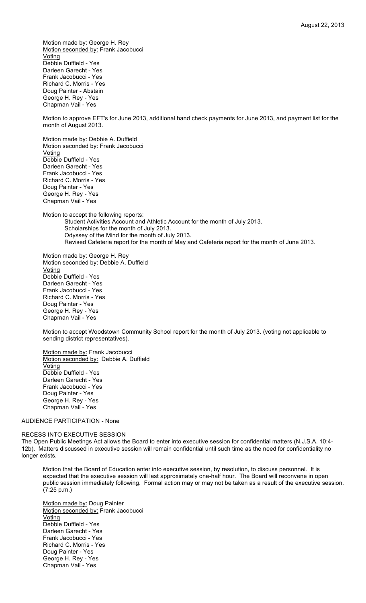Motion made by: George H. Rey Motion seconded by: Frank Jacobucci Voting Debbie Duffield - Yes Darleen Garecht - Yes Frank Jacobucci - Yes Richard C. Morris - Yes Doug Painter - Abstain George H. Rey - Yes Chapman Vail - Yes

Motion to approve EFT's for June 2013, additional hand check payments for June 2013, and payment list for the month of August 2013.

Motion made by: Debbie A. Duffield Motion seconded by: Frank Jacobucci Voting Debbie Duffield - Yes Darleen Garecht - Yes Frank Jacobucci - Yes Richard C. Morris - Yes Doug Painter - Yes George H. Rey - Yes Chapman Vail - Yes

Motion to accept the following reports: Student Activities Account and Athletic Account for the month of July 2013. Scholarships for the month of July 2013. Odyssey of the Mind for the month of July 2013. Revised Cafeteria report for the month of May and Cafeteria report for the month of June 2013.

Motion made by: George H. Rey Motion seconded by: Debbie A. Duffield Voting Debbie Duffield - Yes Darleen Garecht - Yes Frank Jacobucci - Yes Richard C. Morris - Yes Doug Painter - Yes George H. Rey - Yes Chapman Vail - Yes

Motion to accept Woodstown Community School report for the month of July 2013. (voting not applicable to sending district representatives).

Motion made by: Frank Jacobucci Motion seconded by: Debbie A. Duffield Voting Debbie Duffield - Yes Darleen Garecht - Yes Frank Jacobucci - Yes Doug Painter - Yes George H. Rey - Yes Chapman Vail - Yes

# AUDIENCE PARTICIPATION - None

#### RECESS INTO EXECUTIVE SESSION

The Open Public Meetings Act allows the Board to enter into executive session for confidential matters (N.J.S.A. 10:4- 12b). Matters discussed in executive session will remain confidential until such time as the need for confidentiality no longer exists.

Motion that the Board of Education enter into executive session, by resolution, to discuss personnel. It is expected that the executive session will last approximately one-half hour. The Board will reconvene in open public session immediately following. Formal action may or may not be taken as a result of the executive session. (7:25 p.m.)

Motion made by: Doug Painter Motion seconded by: Frank Jacobucci Voting Debbie Duffield - Yes Darleen Garecht - Yes Frank Jacobucci - Yes Richard C. Morris - Yes Doug Painter - Yes George H. Rey - Yes Chapman Vail - Yes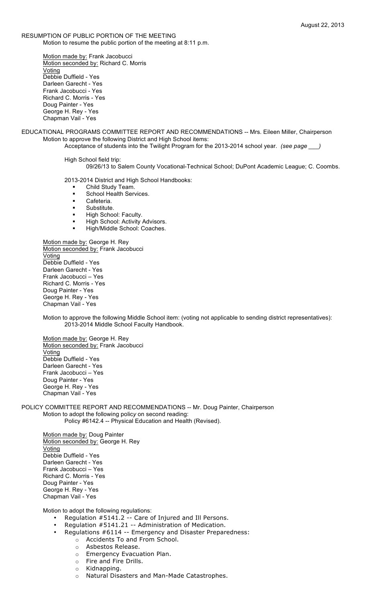## RESUMPTION OF PUBLIC PORTION OF THE MEETING Motion to resume the public portion of the meeting at 8:11 p.m.

Motion made by: Frank Jacobucci Motion seconded by: Richard C. Morris Voting Debbie Duffield - Yes Darleen Garecht - Yes Frank Jacobucci - Yes Richard C. Morris - Yes Doug Painter - Yes George H. Rey - Yes Chapman Vail - Yes

EDUCATIONAL PROGRAMS COMMITTEE REPORT AND RECOMMENDATIONS -- Mrs. Eileen Miller, Chairperson Motion to approve the following District and High School items:

Acceptance of students into the Twilight Program for the 2013-2014 school year. *(see page \_\_\_)*

High School field trip:

09/26/13 to Salem County Vocational-Technical School; DuPont Academic League; C. Coombs.

2013-2014 District and High School Handbooks:

- Child Study Team.
- **•** School Health Services.
- § Cafeteria.
- Substitute.
- **•** High School: Faculty.
- § High School: Activity Advisors.
- § High/Middle School: Coaches.

Motion made by: George H. Rey Motion seconded by: Frank Jacobucci Voting Debbie Duffield - Yes Darleen Garecht - Yes Frank Jacobucci – Yes Richard C. Morris - Yes Doug Painter - Yes George H. Rey - Yes Chapman Vail - Yes

Motion to approve the following Middle School item: (voting not applicable to sending district representatives): 2013-2014 Middle School Faculty Handbook.

Motion made by: George H. Rey Motion seconded by: Frank Jacobucci **Voting** Debbie Duffield - Yes Darleen Garecht - Yes Frank Jacobucci – Yes Doug Painter - Yes George H. Rey - Yes Chapman Vail - Yes

POLICY COMMITTEE REPORT AND RECOMMENDATIONS -- Mr. Doug Painter, Chairperson Motion to adopt the following polic*y* on second reading: Policy #6142.4 -- Physical Education and Health (Revised).

Motion made by: Doug Painter Motion seconded by: George H. Rey Voting Debbie Duffield - Yes Darleen Garecht - Yes Frank Jacobucci – Yes Richard C. Morris - Yes Doug Painter - Yes George H. Rey - Yes Chapman Vail - Yes

Motion to adopt the following regulations:

- Regulation #5141.2 -- Care of Injured and Ill Persons.
- Regulation #5141.21 -- Administration of Medication.
- Regulations #6114 -- Emergency and Disaster Preparedness:
	- o Accidents To and From School.
		- o Asbestos Release.
		- o Emergency Evacuation Plan.
		- o Fire and Fire Drills.
		- o Kidnapping.
		- o Natural Disasters and Man-Made Catastrophes.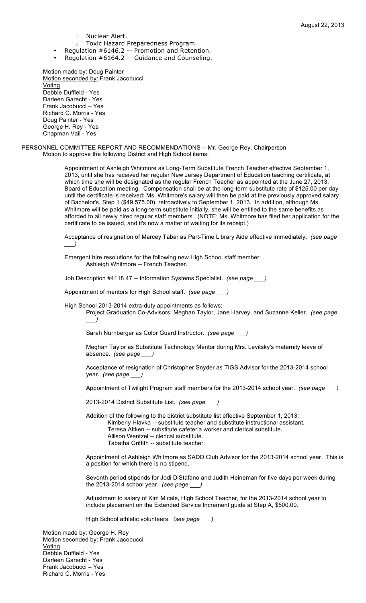- o Nuclear Alert.
- o Toxic Hazard Preparedness Program.
- Regulation #6146.2 -- Promotion and Retention.
- Regulation #6164.2 -- Guidance and Counseling.

Motion made by: Doug Painter Motion seconded by: Frank Jacobucci **Voting** Debbie Duffield - Yes Darleen Garecht - Yes Frank Jacobucci – Yes Richard C. Morris - Yes Doug Painter - Yes George H. Rey - Yes Chapman Vail - Yes

PERSONNEL COMMITTEE REPORT AND RECOMMENDATIONS -- Mr. George Rey, Chairperson Motion to approve the following District and High School items:

> Appointment of Ashleigh Whitmore as Long-Term Substitute French Teacher effective September 1, 2013, until she has received her regular New Jersey Department of Education teaching certificate, at which time she will be designated as the regular French Teacher as appointed at the June 27, 2013, Board of Education meeting. Compensation shall be at the long-term substitute rate of \$125.00 per day until the certificate is received; Ms. Whitmore's salary will then be paid at the previously approved salary of Bachelor's, Step 1 (\$49,575.00), retroactively to September 1, 2013. In addition, although Ms. Whitmore will be paid as a long-term substitute initially, she will be entitled to the same benefits as afforded to all newly hired regular staff members. (NOTE: Ms. Whitmore has filed her application for the certificate to be issued, and it's now a matter of waiting for its receipt.)

> Acceptance of resignation of Marcey Tabar as Part-Time Library Aide effective immediately. *(see page \_\_\_)*

Emergent hire resolutions for the following new High School staff member: Ashleigh Whitmore -- French Teacher.

Job Description #4118.47 -- Information Systems Specialist. *(see page \_\_\_)*

Appointment of mentors for High School staff. *(see page \_\_\_)*

High School 2013-2014 extra-duty appointments as follows:

Project Graduation Co-Advisors: Meghan Taylor, Jane Harvey, and Suzanne Keller. *(see page \_\_\_)*

Sarah Nurnberger as Color Guard Instructor. *(see page \_\_\_)*

Meghan Taylor as Substitute Technology Mentor during Mrs. Levitsky's maternity leave of absence. *(see page \_\_\_)*

Acceptance of resignation of Christopher Snyder as TIGS Advisor for the 2013-2014 school year. *(see page \_\_\_)*

Appointment of Twilight Program staff members for the 2013-2014 school year. *(see page \_\_\_)*

2013-2014 District Substitute List. *(see page \_\_\_)*

Addition of the following to the district substitute list effective September 1, 2013: Kimberly Hlavka -- substitute teacher and substitute instructional assistant. Teresa Aitken -- substitute cafeteria worker and clerical substitute. Allison Wentzel -- clerical substitute. Tabatha Griffith -- substitute teacher.

Appointment of Ashleigh Whitmore as SADD Club Advisor for the 2013-2014 school year. This is a position for which there is no stipend.

Seventh period stipends for Jodi DiStafano and Judith Heineman for five days per week during the 2013-2014 school year. *(see page \_\_\_)*

Adjustment to salary of Kim Micale, High School Teacher, for the 2013-2014 school year to include placement on the Extended Service Increment guide at Step A, \$500.00.

High School athletic volunteers. *(see page \_\_\_)*

Motion made by: George H. Rey Motion seconded by: Frank Jacobucci **Voting** Debbie Duffield - Yes Darleen Garecht - Yes Frank Jacobucci – Yes Richard C. Morris - Yes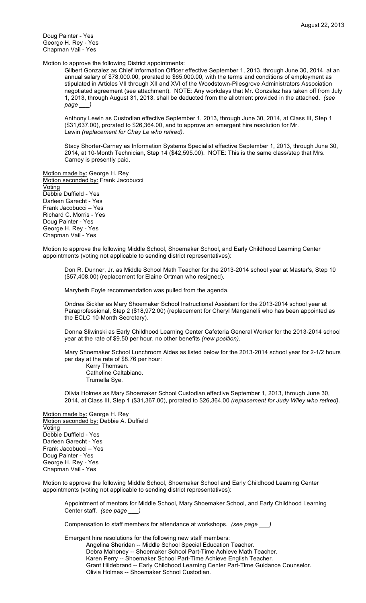Doug Painter - Yes George H. Rey - Yes Chapman Vail - Yes

Motion to approve the following District appointments:

Gilbert Gonzalez as Chief Information Officer effective September 1, 2013, through June 30, 2014, at an annual salary of \$78,000.00, prorated to \$65,000.00, with the terms and conditions of employment as stipulated in Articles VII through XII and XVI of the Woodstown-Pilesgrove Administrators Association negotiated agreement (see attachment). NOTE: Any workdays that Mr. Gonzalez has taken off from July 1, 2013, through August 31, 2013, shall be deducted from the allotment provided in the attached. *(see page \_\_\_)*

Anthony Lewin as Custodian effective September 1, 2013, through June 30, 2014, at Class III, Step 1 (\$31,637.00), prorated to \$26,364.00, and to approve an emergent hire resolution for Mr. Lewin *(replacement for Chay Le who retired).* 

Stacy Shorter-Carney as Information Systems Specialist effective September 1, 2013, through June 30, 2014, at 10-Month Technician, Step 14 (\$42,595.00). NOTE: This is the same class/step that Mrs. Carney is presently paid.

Motion made by: George H. Rey Motion seconded by: Frank Jacobucci Voting Debbie Duffield - Yes Darleen Garecht - Yes Frank Jacobucci – Yes Richard C. Morris - Yes Doug Painter - Yes George H. Rey - Yes Chapman Vail - Yes

Motion to approve the following Middle School, Shoemaker School, and Early Childhood Learning Center appointments (voting not applicable to sending district representatives):

Don R. Dunner, Jr. as Middle School Math Teacher for the 2013-2014 school year at Master's, Step 10 (\$57,408.00) (replacement for Elaine Ortman who resigned).

Marybeth Foyle recommendation was pulled from the agenda.

Ondrea Sickler as Mary Shoemaker School Instructional Assistant for the 2013-2014 school year at Paraprofessional, Step 2 (\$18,972.00) (replacement for Cheryl Manganelli who has been appointed as the ECLC 10-Month Secretary).

Donna Sliwinski as Early Childhood Learning Center Cafeteria General Worker for the 2013-2014 school year at the rate of \$9.50 per hour, no other benefits *(new position).* 

Mary Shoemaker School Lunchroom Aides as listed below for the 2013-2014 school year for 2-1/2 hours per day at the rate of \$8.76 per hour:

Kerry Thomsen. Catheline Caltabiano. Trumella Sye.

Olivia Holmes as Mary Shoemaker School Custodian effective September 1, 2013, through June 30, 2014, at Class III, Step 1 (\$31,367.00), prorated to \$26,364.00 *(replacement for Judy Wiley who retired).* 

Motion made by: George H. Rey Motion seconded by: Debbie A. Duffield **Voting** Debbie Duffield - Yes Darleen Garecht - Yes Frank Jacobucci – Yes Doug Painter - Yes George H. Rey - Yes Chapman Vail - Yes

Motion to approve the following Middle School, Shoemaker School and Early Childhood Learning Center appointments (voting not applicable to sending district representatives):

Appointment of mentors for Middle School, Mary Shoemaker School, and Early Childhood Learning Center staff. *(see page \_\_\_)*

Compensation to staff members for attendance at workshops. *(see page \_\_\_)*

Emergent hire resolutions for the following new staff members: Angelina Sheridan -- Middle School Special Education Teacher. Debra Mahoney -- Shoemaker School Part-Time Achieve Math Teacher. Karen Perry -- Shoemaker School Part-Time Achieve English Teacher. Grant Hildebrand -- Early Childhood Learning Center Part-Time Guidance Counselor. Olivia Holmes -- Shoemaker School Custodian.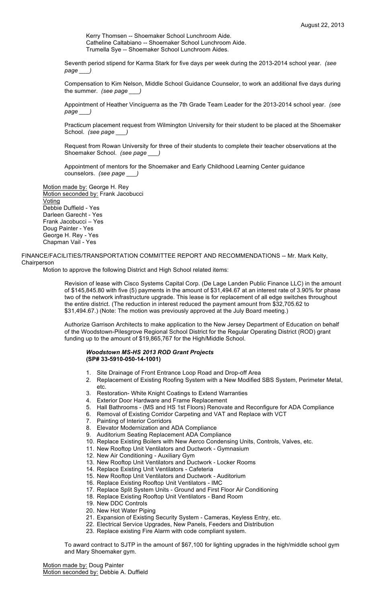Kerry Thomsen -- Shoemaker School Lunchroom Aide. Catheline Caltabiano -- Shoemaker School Lunchroom Aide. Trumella Sye -- Shoemaker School Lunchroom Aides.

Seventh period stipend for Karma Stark for five days per week during the 2013-2014 school year. *(see page \_\_\_)*

Compensation to Kim Nelson, Middle School Guidance Counselor, to work an additional five days during the summer. *(see page \_\_\_)*

Appointment of Heather Vinciguerra as the 7th Grade Team Leader for the 2013-2014 school year. *(see page \_\_\_)*

Practicum placement request from Wilmington University for their student to be placed at the Shoemaker School. *(see page \_\_\_)*

Request from Rowan University for three of their students to complete their teacher observations at the Shoemaker School. *(see page \_\_\_)*

Appointment of mentors for the Shoemaker and Early Childhood Learning Center guidance counselors. *(see page \_\_\_)*

Motion made by: George H. Rey Motion seconded by: Frank Jacobucci Voting Debbie Duffield - Yes Darleen Garecht - Yes Frank Jacobucci – Yes Doug Painter - Yes George H. Rey - Yes Chapman Vail - Yes

### FINANCE/FACILITIES/TRANSPORTATION COMMITTEE REPORT AND RECOMMENDATIONS -- Mr. Mark Kelty, Chairperson

Motion to approve the following District and High School related items:

Revision of lease with Cisco Systems Capital Corp. (De Lage Landen Public Finance LLC) in the amount of \$145,845.80 with five (5) payments in the amount of \$31,494.67 at an interest rate of 3.90% for phase two of the network infrastructure upgrade. This lease is for replacement of all edge switches throughout the entire district. (The reduction in interest reduced the payment amount from \$32,705.62 to \$31,494.67.) (Note: The motion was previously approved at the July Board meeting.)

Authorize Garrison Architects to make application to the New Jersey Department of Education on behalf of the Woodstown-Pilesgrove Regional School District for the Regular Operating District (ROD) grant funding up to the amount of \$19,865,767 for the High/Middle School.

## *Woodstown MS-HS 2013 ROD Grant Projects* **(SP# 33-5910-050-14-1001)**

- 1. Site Drainage of Front Entrance Loop Road and Drop-off Area
- 2. Replacement of Existing Roofing System with a New Modified SBS System, Perimeter Metal, etc.
- 3. Restoration- White Knight Coatings to Extend Warranties
- 4. Exterior Door Hardware and Frame Replacement
- 5. Hall Bathrooms (MS and HS 1st Floors) Renovate and Reconfigure for ADA Compliance
- 6. Removal of Existing Corridor Carpeting and VAT and Replace with VCT
- 7. Painting of Interior Corridors
- 8. Elevator Modernization and ADA Compliance
- 9. Auditorium Seating Replacement ADA Compliance
- 10. Replace Existing Boilers with New Aerco Condensing Units, Controls, Valves, etc.
- 11. New Rooftop Unit Ventilators and Ductwork Gymnasium
- 12. New Air Conditioning Auxiliary Gym
- 13. New Rooftop Unit Ventilators and Ductwork Locker Rooms
- 14. Replace Existing Unit Ventilators Cafeteria
- 15. New Rooftop Unit Ventilators and Ductwork Auditorium
- 16. Replace Existing Rooftop Unit Ventilators IMC
- 17. Replace Split System Units Ground and First Floor Air Conditioning
- 18. Replace Existing Rooftop Unit Ventilators Band Room
- 19. New DDC Controls
- 20. New Hot Water Piping
- 21. Expansion of Existing Security System Cameras, Keyless Entry, etc.
- 22. Electrical Service Upgrades, New Panels, Feeders and Distribution
- 23. Replace existing Fire Alarm with code compliant system.

To award contract to SJTP in the amount of \$67,100 for lighting upgrades in the high/middle school gym and Mary Shoemaker gym.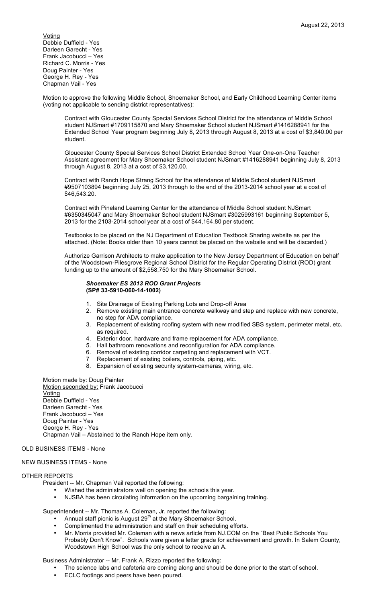Voting Debbie Duffield - Yes Darleen Garecht - Yes Frank Jacobucci – Yes Richard C. Morris - Yes Doug Painter - Yes George H. Rey - Yes Chapman Vail - Yes

Motion to approve the following Middle School, Shoemaker School, and Early Childhood Learning Center items (voting not applicable to sending district representatives):

Contract with Gloucester County Special Services School District for the attendance of Middle School student NJSmart #1709115870 and Mary Shoemaker School student NJSmart #1416288941 for the Extended School Year program beginning July 8, 2013 through August 8, 2013 at a cost of \$3,840.00 per student.

Gloucester County Special Services School District Extended School Year One-on-One Teacher Assistant agreement for Mary Shoemaker School student NJSmart #1416288941 beginning July 8, 2013 through August 8, 2013 at a cost of \$3,120.00.

Contract with Ranch Hope Strang School for the attendance of Middle School student NJSmart #9507103894 beginning July 25, 2013 through to the end of the 2013-2014 school year at a cost of \$46,543.20.

Contract with Pineland Learning Center for the attendance of Middle School student NJSmart #6350345047 and Mary Shoemaker School student NJSmart #3025993161 beginning September 5, 2013 for the 2103-2014 school year at a cost of \$44,164.80 per student.

Textbooks to be placed on the NJ Department of Education Textbook Sharing website as per the attached. (Note: Books older than 10 years cannot be placed on the website and will be discarded.)

Authorize Garrison Architects to make application to the New Jersey Department of Education on behalf of the Woodstown-Pilesgrove Regional School District for the Regular Operating District (ROD) grant funding up to the amount of \$2,558,750 for the Mary Shoemaker School.

# *Shoemaker ES 2013 ROD Grant Projects* **(SP# 33-5910-060-14-1002)**

- 1. Site Drainage of Existing Parking Lots and Drop-off Area
- 2. Remove existing main entrance concrete walkway and step and replace with new concrete, no step for ADA compliance.
- 3. Replacement of existing roofing system with new modified SBS system, perimeter metal, etc. as required.
- 4. Exterior door, hardware and frame replacement for ADA compliance.
- 5. Hall bathroom renovations and reconfiguration for ADA compliance.
- 6. Removal of existing corridor carpeting and replacement with VCT.
- 7 Replacement of existing boilers, controls, piping, etc.
- 8. Expansion of existing security system-cameras, wiring, etc.

Motion made by: Doug Painter Motion seconded by: Frank Jacobucci **Voting** Debbie Duffield - Yes Darleen Garecht - Yes Frank Jacobucci – Yes Doug Painter - Yes George H. Rey - Yes Chapman Vail – Abstained to the Ranch Hope item only.

# OLD BUSINESS ITEMS - None

# NEW BUSINESS ITEMS - None

## OTHER REPORTS

President -- Mr. Chapman Vail reported the following:

- Wished the administrators well on opening the schools this year.
- NJSBA has been circulating information on the upcoming bargaining training.

Superintendent -- Mr. Thomas A. Coleman, Jr. reported the following:

- Annual staff picnic is August  $29<sup>th</sup>$  at the Mary Shoemaker School.
- Complimented the administration and staff on their scheduling efforts.
- Mr. Morris provided Mr. Coleman with a news article from NJ.COM on the "Best Public Schools You Probably Don't Know". Schools were given a letter grade for achievement and growth. In Salem County, Woodstown High School was the only school to receive an A.

Business Administrator -- Mr. Frank A. Rizzo reported the following:

- The science labs and cafeteria are coming along and should be done prior to the start of school.
- ECLC footings and peers have been poured.